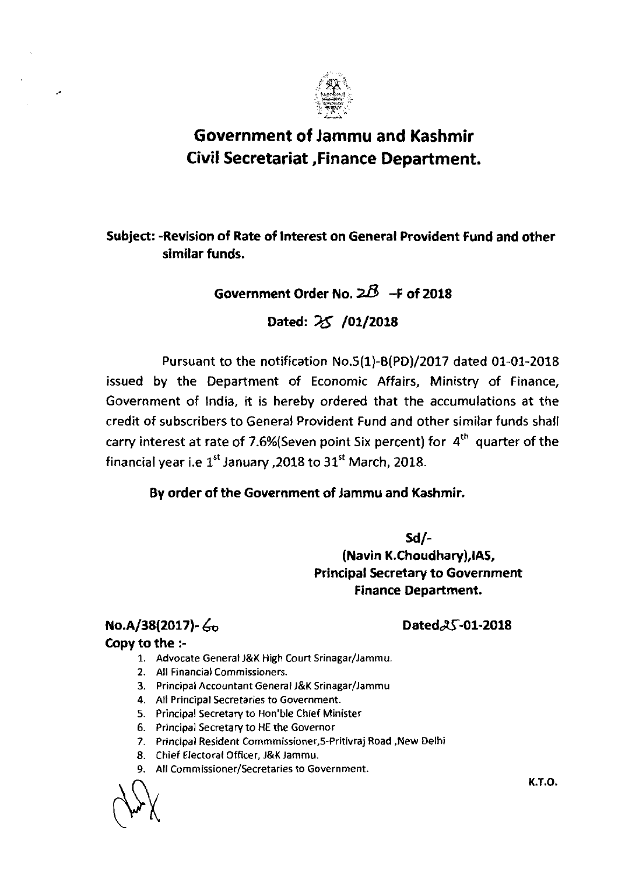

# **Government of Jammu and Kashmir Civil Secretariat ,Finance Department.**

#### Subject: -Revision of Rate of Interest on General Provident Fund and other similar funds.

## Government Order No.  $2B -$ F of 2018

Dated: 25 /01/2018

Pursuant to the notification No.5(1)-B(PD)/2017 dated 01-01-2018 issued by the Department of Economic Affairs, Ministry of Finance, Government of India, it is hereby ordered that the accumulations at the credit of subscribers to General Provident Fund and other similar funds shall carry interest at rate of 7.6%(Seven point Six percent) for  $4<sup>th</sup>$  quarter of the financial year i.e **1''** January ,2018 to 31'' March, 2018.

#### By order of the Government of Jammu and Kashmir.

Sd/- (Navin K.Choudhary),lAS, Principal Secretary to Government Finance Department.

### $\text{No.A/38(2017)}\text{-} \text{Go}$  Dated $\beta$ S-01-2018

#### Copy to the :-

 $\overline{\phantom{a}}$ 

- 1. Advocate General J&K High Court Srinagar/Jammu.
- 2. All Financial Commissioners.
- 3. Principal Accountant General J&K Srinagar/Jammu
- **4.** All Principal Secretaries to Government.
- 5. Principal Secretary to Hon'ble Chief Minister
- **6.** Principal Secretafy to HE the Governor
- 7. Principal Resident Commmissioner.5-Pritivraj Road ,New Delhi
- 8. Chief Electoral Officer, J&K Jammu.
- 9. All **Commissioner/Secretaries** to Government.